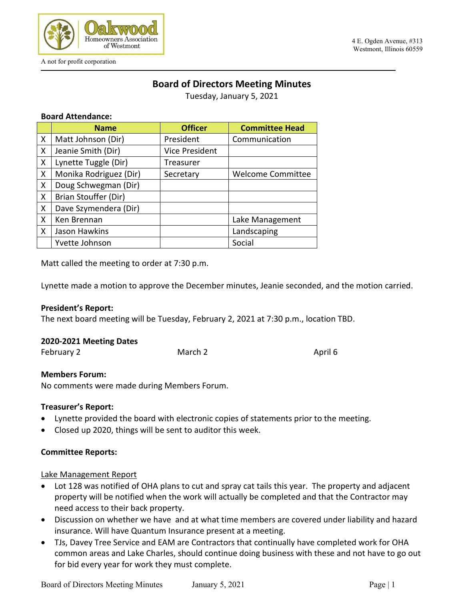

# **Board of Directors Meeting Minutes**

Tuesday, January 5, 2021

### **Board Attendance:**

|   | <b>Name</b>            | <b>Officer</b>        | <b>Committee Head</b>    |
|---|------------------------|-----------------------|--------------------------|
| X | Matt Johnson (Dir)     | President             | Communication            |
| X | Jeanie Smith (Dir)     | <b>Vice President</b> |                          |
| X | Lynette Tuggle (Dir)   | Treasurer             |                          |
| X | Monika Rodriguez (Dir) | Secretary             | <b>Welcome Committee</b> |
| X | Doug Schwegman (Dir)   |                       |                          |
| X | Brian Stouffer (Dir)   |                       |                          |
| X | Dave Szymendera (Dir)  |                       |                          |
| X | Ken Brennan            |                       | Lake Management          |
| X | Jason Hawkins          |                       | Landscaping              |
|   | Yvette Johnson         |                       | Social                   |

Matt called the meeting to order at 7:30 p.m.

Lynette made a motion to approve the December minutes, Jeanie seconded, and the motion carried.

### **President's Report:**

The next board meeting will be Tuesday, February 2, 2021 at 7:30 p.m., location TBD.

#### **2020-2021 Meeting Dates**

| February 2<br>March 2 | April 6 |  |
|-----------------------|---------|--|
|-----------------------|---------|--|

#### **Members Forum:**

No comments were made during Members Forum.

### **Treasurer's Report:**

- Lynette provided the board with electronic copies of statements prior to the meeting.
- Closed up 2020, things will be sent to auditor this week.

### **Committee Reports:**

### Lake Management Report

- Lot 128 was notified of OHA plans to cut and spray cat tails this year. The property and adjacent property will be notified when the work will actually be completed and that the Contractor may need access to their back property.
- Discussion on whether we have and at what time members are covered under liability and hazard insurance. Will have Quantum Insurance present at a meeting.
- TJs, Davey Tree Service and EAM are Contractors that continually have completed work for OHA common areas and Lake Charles, should continue doing business with these and not have to go out for bid every year for work they must complete.